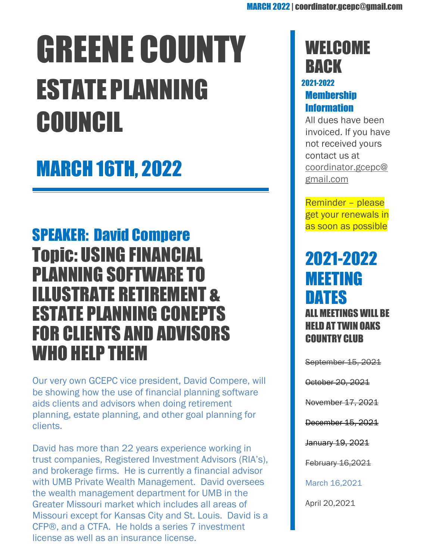# GREENE COUNTY ESTATEPLANNING COUNCIL

# MARCH 16TH, 2022

### SPEAKER: David Compere Topic: USING FINANCIAL PLANNING SOFTWARE TO ILLUSTRATE RETIREMENT & ESTATE PLANNING CONEPTS FOR CLIENTS AND ADVISORS WHO HELP THEM

Our very own GCEPC vice president, David Compere, will be showing how the use of financial planning software aids clients and advisors when doing retirement planning, estate planning, and other goal planning for clients.

David has more than 22 years experience working in trust companies, Registered Investment Advisors (RIA's), and brokerage firms. He is currently a financial advisor with UMB Private Wealth Management. David oversees the wealth management department for UMB in the Greater Missouri market which includes all areas of Missouri except for Kansas City and St. Louis. David is a CFP®, and a CTFA. He holds a series 7 investment license as well as an insurance license.

## **WELCOME BACK**

#### 2021-2022 **Membership** Information

All dues have been invoiced. If you have not received yours contact us at [coordinator.gcepc@](mailto:coordinator.gcepc@gmail.com) [gmail.com](mailto:coordinator.gcepc@gmail.com)

Reminder – please get your renewals in as soon as possible

### 2021-2022 MEETING DATES ALL MEETINGS WILL BE HELD AT TWIN OAKS COUNTRY CLUB

September 15, 2021

October 20, 2021

November 17, 2021

December 15, 2021

January 19, 2021

February 16,2021

March 16,2021

April 20,2021